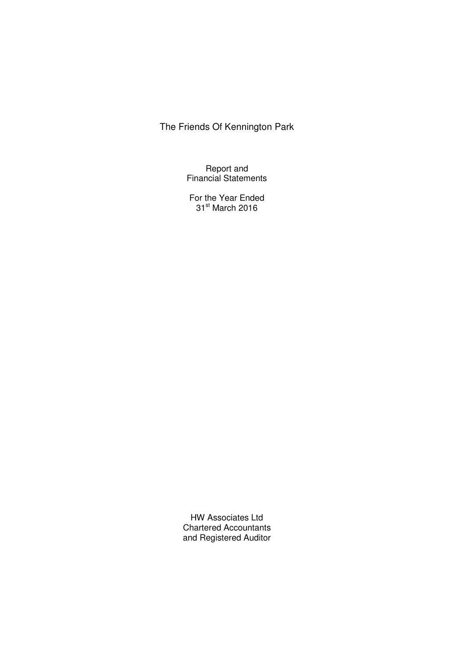Report and Financial Statements

For the Year Ended 31<sup>st</sup> March 2016

HW Associates Ltd Chartered Accountants and Registered Auditor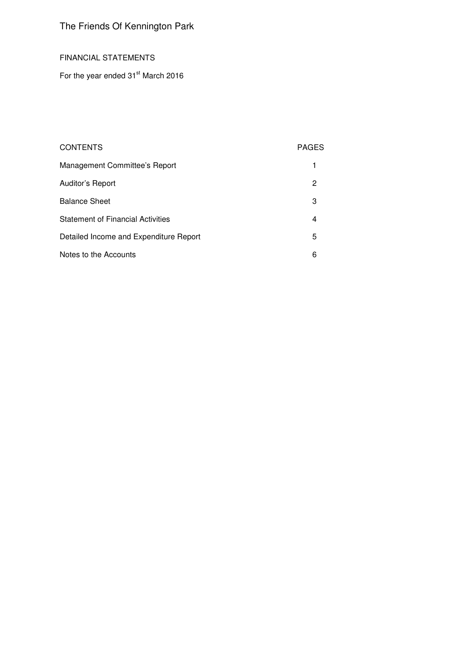### FINANCIAL STATEMENTS

For the year ended  $31<sup>st</sup>$  March 2016

## CONTENTS PAGES

| Management Committee's Report            |    |
|------------------------------------------|----|
| Auditor's Report                         | 2  |
| <b>Balance Sheet</b>                     | 3  |
| <b>Statement of Financial Activities</b> | 4  |
| Detailed Income and Expenditure Report   | 5. |
| Notes to the Accounts                    | 6  |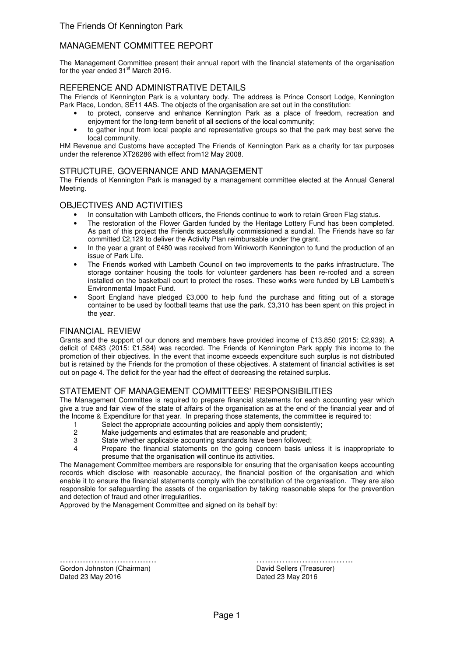### MANAGEMENT COMMITTEE REPORT

The Management Committee present their annual report with the financial statements of the organisation for the year ended  $31<sup>st</sup>$  March 2016.

### REFERENCE AND ADMINISTRATIVE DETAILS

The Friends of Kennington Park is a voluntary body. The address is Prince Consort Lodge, Kennington Park Place, London, SE11 4AS. The objects of the organisation are set out in the constitution:

- to protect, conserve and enhance Kennington Park as a place of freedom, recreation and enjoyment for the long-term benefit of all sections of the local community;
- to gather input from local people and representative groups so that the park may best serve the local community.

HM Revenue and Customs have accepted The Friends of Kennington Park as a charity for tax purposes under the reference XT26286 with effect from12 May 2008.

### STRUCTURE, GOVERNANCE AND MANAGEMENT

The Friends of Kennington Park is managed by a management committee elected at the Annual General Meeting.

### OBJECTIVES AND ACTIVITIES

- In consultation with Lambeth officers, the Friends continue to work to retain Green Flag status.
- The restoration of the Flower Garden funded by the Heritage Lottery Fund has been completed. As part of this project the Friends successfully commissioned a sundial. The Friends have so far committed £2,129 to deliver the Activity Plan reimbursable under the grant.
- In the year a grant of £480 was received from Winkworth Kennington to fund the production of an issue of Park Life.
- The Friends worked with Lambeth Council on two improvements to the parks infrastructure. The storage container housing the tools for volunteer gardeners has been re-roofed and a screen installed on the basketball court to protect the roses. These works were funded by LB Lambeth's Environmental Impact Fund.
- Sport England have pledged £3,000 to help fund the purchase and fitting out of a storage container to be used by football teams that use the park. £3,310 has been spent on this project in the year.

### FINANCIAL REVIEW

Grants and the support of our donors and members have provided income of £13,850 (2015: £2,939). A deficit of £483 (2015: £1,584) was recorded. The Friends of Kennington Park apply this income to the promotion of their objectives. In the event that income exceeds expenditure such surplus is not distributed but is retained by the Friends for the promotion of these objectives. A statement of financial activities is set out on page 4. The deficit for the year had the effect of decreasing the retained surplus.

### STATEMENT OF MANAGEMENT COMMITTEES' RESPONSIBILITIES

The Management Committee is required to prepare financial statements for each accounting year which give a true and fair view of the state of affairs of the organisation as at the end of the financial year and of the Income & Expenditure for that year. In preparing those statements, the committee is required to:

- 1 Select the appropriate accounting policies and apply them consistently;
- 2 Make judgements and estimates that are reasonable and prudent;<br>3 State whether applicable accounting standards have been followed
- 3 State whether applicable accounting standards have been followed;<br>4 Prepare the financial statements on the going concern basis un
- Prepare the financial statements on the going concern basis unless it is inappropriate to presume that the organisation will continue its activities.

The Management Committee members are responsible for ensuring that the organisation keeps accounting records which disclose with reasonable accuracy, the financial position of the organisation and which enable it to ensure the financial statements comply with the constitution of the organisation. They are also responsible for safeguarding the assets of the organisation by taking reasonable steps for the prevention and detection of fraud and other irregularities.

Approved by the Management Committee and signed on its behalf by:

……………………………. ……………………………. Gordon Johnston (Chairman) David Sellers (Treasurer) Dated 23 May 2016 Dated 23 May 2016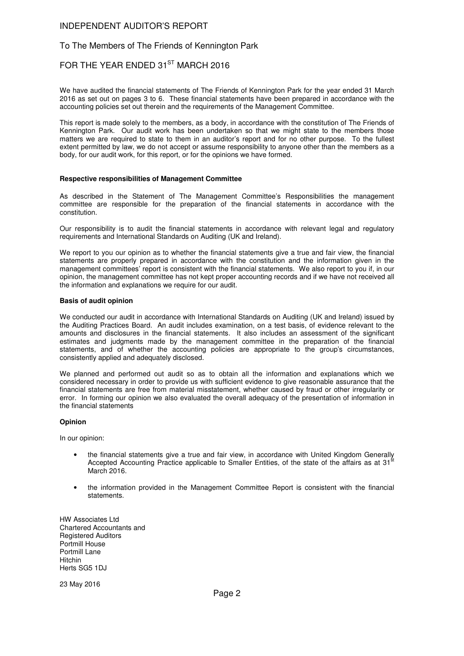### INDEPENDENT AUDITOR'S REPORT

### To The Members of The Friends of Kennington Park

## FOR THE YEAR ENDED 31<sup>ST</sup> MARCH 2016

We have audited the financial statements of The Friends of Kennington Park for the year ended 31 March 2016 as set out on pages 3 to 6. These financial statements have been prepared in accordance with the accounting policies set out therein and the requirements of the Management Committee.

This report is made solely to the members, as a body, in accordance with the constitution of The Friends of Kennington Park. Our audit work has been undertaken so that we might state to the members those matters we are required to state to them in an auditor's report and for no other purpose. To the fullest extent permitted by law, we do not accept or assume responsibility to anyone other than the members as a body, for our audit work, for this report, or for the opinions we have formed.

#### **Respective responsibilities of Management Committee**

As described in the Statement of The Management Committee's Responsibilities the management committee are responsible for the preparation of the financial statements in accordance with the constitution.

Our responsibility is to audit the financial statements in accordance with relevant legal and regulatory requirements and International Standards on Auditing (UK and Ireland).

We report to you our opinion as to whether the financial statements give a true and fair view, the financial statements are properly prepared in accordance with the constitution and the information given in the management committees' report is consistent with the financial statements. We also report to you if, in our opinion, the management committee has not kept proper accounting records and if we have not received all the information and explanations we require for our audit.

#### **Basis of audit opinion**

We conducted our audit in accordance with International Standards on Auditing (UK and Ireland) issued by the Auditing Practices Board. An audit includes examination, on a test basis, of evidence relevant to the amounts and disclosures in the financial statements. It also includes an assessment of the significant estimates and judgments made by the management committee in the preparation of the financial statements, and of whether the accounting policies are appropriate to the group's circumstances, consistently applied and adequately disclosed.

We planned and performed out audit so as to obtain all the information and explanations which we considered necessary in order to provide us with sufficient evidence to give reasonable assurance that the financial statements are free from material misstatement, whether caused by fraud or other irregularity or error. In forming our opinion we also evaluated the overall adequacy of the presentation of information in the financial statements

#### **Opinion**

In our opinion:

- the financial statements give a true and fair view, in accordance with United Kingdom Generally Accepted Accounting Practice applicable to Smaller Entities, of the state of the affairs as at 31<sup>t</sup> March 2016.
- the information provided in the Management Committee Report is consistent with the financial statements.

HW Associates Ltd Chartered Accountants and Registered Auditors Portmill House Portmill Lane Hitchin Herts SG5 1DJ

23 May 2016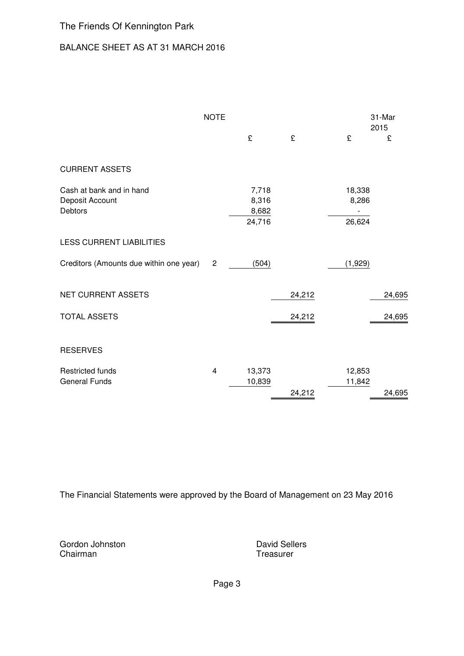## BALANCE SHEET AS AT 31 MARCH 2016

|                                                               | <b>NOTE</b>             |                                   |        |                           | 31-Mar<br>2015 |
|---------------------------------------------------------------|-------------------------|-----------------------------------|--------|---------------------------|----------------|
|                                                               |                         | £                                 | £      | £                         | £              |
| <b>CURRENT ASSETS</b>                                         |                         |                                   |        |                           |                |
| Cash at bank and in hand<br>Deposit Account<br><b>Debtors</b> |                         | 7,718<br>8,316<br>8,682<br>24,716 |        | 18,338<br>8,286<br>26,624 |                |
| <b>LESS CURRENT LIABILITIES</b>                               |                         |                                   |        |                           |                |
| Creditors (Amounts due within one year)                       | $\mathbf{2}$            | (504)                             |        | (1,929)                   |                |
| <b>NET CURRENT ASSETS</b>                                     |                         |                                   | 24,212 |                           | 24,695         |
| <b>TOTAL ASSETS</b>                                           |                         |                                   | 24,212 |                           | 24,695         |
| <b>RESERVES</b>                                               |                         |                                   |        |                           |                |
| <b>Restricted funds</b><br><b>General Funds</b>               | $\overline{\mathbf{4}}$ | 13,373<br>10,839                  | 24,212 | 12,853<br>11,842          | 24,695         |

The Financial Statements were approved by the Board of Management on 23 May 2016

Gordon Johnston **David Sellers**<br>
Chairman **David Sellers**<br>
Treasurer

Treasurer

Page 3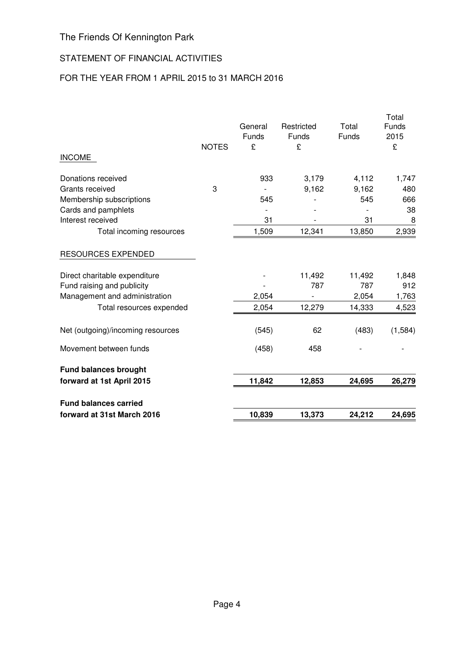## STATEMENT OF FINANCIAL ACTIVITIES

## FOR THE YEAR FROM 1 APRIL 2015 to 31 MARCH 2016

|                                   |              | General<br>Funds | Restricted<br>Funds | Total<br>Funds | Total<br>Funds<br>2015 |
|-----------------------------------|--------------|------------------|---------------------|----------------|------------------------|
| <b>INCOME</b>                     | <b>NOTES</b> | £                | £                   |                | £                      |
| Donations received                |              | 933              | 3,179               | 4,112          | 1,747                  |
| Grants received                   | 3            |                  | 9,162               | 9,162          | 480                    |
| Membership subscriptions          |              | 545              |                     | 545            | 666                    |
| Cards and pamphlets               |              |                  |                     |                | 38                     |
| Interest received                 |              | 31               |                     | 31             | 8                      |
| Total incoming resources          |              | 1,509            | 12,341              | 13,850         | 2,939                  |
| <b>RESOURCES EXPENDED</b>         |              |                  |                     |                |                        |
| Direct charitable expenditure     |              |                  | 11,492              | 11,492         | 1,848                  |
| Fund raising and publicity        |              |                  | 787                 | 787            | 912                    |
| Management and administration     |              | 2,054            |                     | 2,054          | 1,763                  |
| Total resources expended          |              | 2,054            | 12,279              | 14,333         | 4,523                  |
| Net (outgoing)/incoming resources |              | (545)            | 62                  | (483)          | (1,584)                |
| Movement between funds            |              | (458)            | 458                 |                |                        |
| <b>Fund balances brought</b>      |              |                  |                     |                |                        |
| forward at 1st April 2015         |              | 11,842           | 12,853              | 24,695         | 26,279                 |
| <b>Fund balances carried</b>      |              |                  |                     |                |                        |
| forward at 31st March 2016        |              | 10,839           | 13,373              | 24,212         | 24,695                 |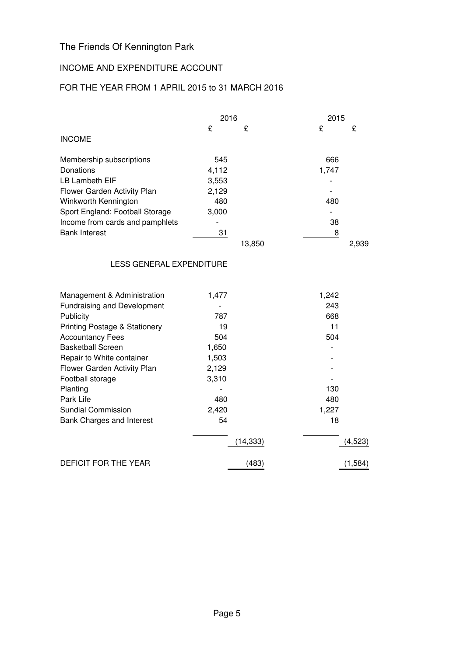## INCOME AND EXPENDITURE ACCOUNT

## FOR THE YEAR FROM 1 APRIL 2015 to 31 MARCH 2016

|                                    | 2016  |           |       | 2015     |  |
|------------------------------------|-------|-----------|-------|----------|--|
|                                    | £     | £         | £     | £        |  |
| <b>INCOME</b>                      |       |           |       |          |  |
| Membership subscriptions           | 545   |           | 666   |          |  |
| Donations                          | 4,112 |           | 1,747 |          |  |
| <b>LB Lambeth EIF</b>              | 3,553 |           |       |          |  |
| Flower Garden Activity Plan        | 2,129 |           |       |          |  |
| Winkworth Kennington               | 480   |           | 480   |          |  |
| Sport England: Football Storage    | 3,000 |           |       |          |  |
| Income from cards and pamphlets    |       |           | 38    |          |  |
| <b>Bank Interest</b>               | 31    |           | 8     |          |  |
|                                    |       | 13,850    |       | 2,939    |  |
| <b>LESS GENERAL EXPENDITURE</b>    |       |           |       |          |  |
| Management & Administration        | 1,477 |           | 1,242 |          |  |
| <b>Fundraising and Development</b> |       |           | 243   |          |  |
| Publicity                          | 787   |           | 668   |          |  |
| Printing Postage & Stationery      | 19    |           | 11    |          |  |
| <b>Accountancy Fees</b>            | 504   |           | 504   |          |  |
| <b>Basketball Screen</b>           | 1,650 |           |       |          |  |
| Repair to White container          | 1,503 |           |       |          |  |
| Flower Garden Activity Plan        | 2,129 |           |       |          |  |
| Football storage                   | 3,310 |           |       |          |  |
| Planting                           |       |           | 130   |          |  |
| Park Life                          | 480   |           | 480   |          |  |
| <b>Sundial Commission</b>          | 2,420 |           | 1,227 |          |  |
| Bank Charges and Interest          | 54    |           | 18    |          |  |
|                                    |       | (14, 333) |       | (4, 523) |  |
| <b>DEFICIT FOR THE YEAR</b>        |       | (483)     |       | (1, 584) |  |